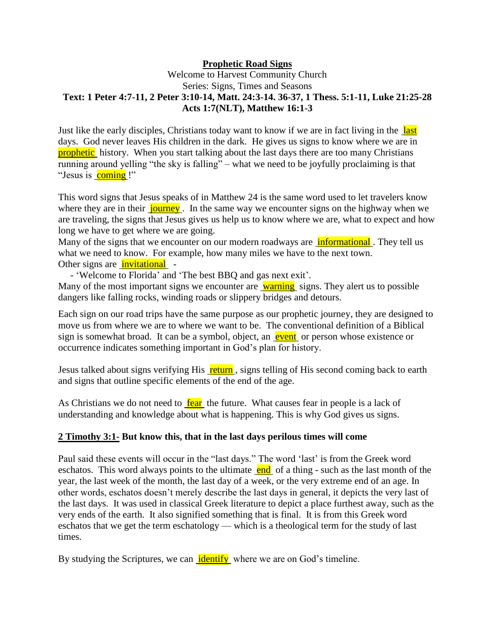## **Prophetic Road Signs**

## Welcome to Harvest Community Church Series: Signs, Times and Seasons **Text: 1 Peter 4:7-11, 2 Peter 3:10-14, Matt. 24:3-14. 36-37, 1 Thess. 5:1-11, Luke 21:25-28 Acts 1:7(NLT), Matthew 16:1-3**

Just like the early disciples, Christians today want to know if we are in fact living in the last days. God never leaves His children in the dark. He gives us signs to know where we are in prophetic history. When you start talking about the last days there are too many Christians running around yelling "the sky is falling" – what we need to be joyfully proclaiming is that "Jesus is coming !"

This word signs that Jesus speaks of in Matthew 24 is the same word used to let travelers know where they are in their journey. In the same way we encounter signs on the highway when we are traveling, the signs that Jesus gives us help us to know where we are, what to expect and how long we have to get where we are going.

Many of the signs that we encounter on our modern roadways are **informational**. They tell us what we need to know. For example, how many miles we have to the next town. Other signs are **invitational** -

- 'Welcome to Florida' and 'The best BBQ and gas next exit'.

Many of the most important signs we encounter are warning signs. They alert us to possible dangers like falling rocks, winding roads or slippery bridges and detours.

Each sign on our road trips have the same purpose as our prophetic journey, they are designed to move us from where we are to where we want to be. The conventional definition of a Biblical sign is somewhat broad. It can be a symbol, object, an event or person whose existence or occurrence indicates something important in God's plan for history.

Jesus talked about signs verifying His return, signs telling of His second coming back to earth and signs that outline specific elements of the end of the age.

As Christians we do not need to  $\frac{\text{fear}}{\text{ar}}$  the future. What causes fear in people is a lack of understanding and knowledge about what is happening. This is why God gives us signs.

## **2 Timothy 3:1- But know this, that in the last days perilous times will come**

Paul said these events will occur in the "last days." The word 'last' is from the Greek word eschatos. This word always points to the ultimate  $\frac{\text{end}}{\text{of}}$  of a thing - such as the last month of the year, the last week of the month, the last day of a week, or the very extreme end of an age. In other words, eschatos doesn't merely describe the last days in general, it depicts the very last of the last days. It was used in classical Greek literature to depict a place furthest away, such as the very ends of the earth. It also signified something that is final. It is from this Greek word eschatos that we get the term eschatology — which is a theological term for the study of last times.

By studying the Scriptures, we can identify where we are on God's timeline.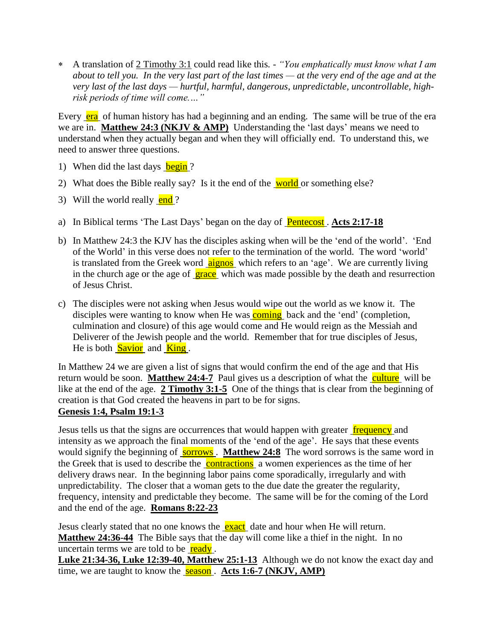A translation of 2 Timothy 3:1 could read like this*. - "You emphatically must know what I am about to tell you. In the very last part of the last times — at the very end of the age and at the very last of the last days — hurtful, harmful, dangerous, unpredictable, uncontrollable, highrisk periods of time will come.…"*

Every era of human history has had a beginning and an ending. The same will be true of the era we are in. **Matthew 24:3 (NKJV & AMP)** Understanding the 'last days' means we need to understand when they actually began and when they will officially end. To understand this, we need to answer three questions.

- 1) When did the last days begin?
- 2) What does the Bible really say? Is it the end of the world or something else?
- 3) Will the world really  $\frac{\text{end}}{?}$
- a) In Biblical terms 'The Last Days' began on the day of Pentecost . **Acts 2:17-18**
- b) In Matthew 24:3 the KJV has the disciples asking when will be the 'end of the world'. 'End of the World' in this verse does not refer to the termination of the world. The word 'world' is translated from the Greek word aignos which refers to an 'age'. We are currently living in the church age or the age of grace which was made possible by the death and resurrection of Jesus Christ.
- c) The disciples were not asking when Jesus would wipe out the world as we know it. The disciples were wanting to know when He was **coming** back and the 'end' (completion, culmination and closure) of this age would come and He would reign as the Messiah and Deliverer of the Jewish people and the world. Remember that for true disciples of Jesus, He is both **Savior** and **King**.

In Matthew 24 we are given a list of signs that would confirm the end of the age and that His return would be soon. **Matthew 24:4-7** Paul gives us a description of what the culture will be like at the end of the age. **2 Timothy 3:1-5** One of the things that is clear from the beginning of creation is that God created the heavens in part to be for signs. **Genesis 1:4, Psalm 19:1-3**

Jesus tells us that the signs are occurrences that would happen with greater frequency and intensity as we approach the final moments of the 'end of the age'. He says that these events would signify the beginning of **sorrows**. **Matthew 24:8** The word sorrows is the same word in the Greek that is used to describe the **contractions** a women experiences as the time of her delivery draws near. In the beginning labor pains come sporadically, irregularly and with unpredictability. The closer that a woman gets to the due date the greater the regularity, frequency, intensity and predictable they become. The same will be for the coming of the Lord and the end of the age. **Romans 8:22-23**

Jesus clearly stated that no one knows the **exact** date and hour when He will return. **Matthew 24:36-44** The Bible says that the day will come like a thief in the night. In no uncertain terms we are told to be  $\frac{ready}{ready}$ .

**Luke 21:34-36, Luke 12:39-40, Matthew 25:1-13** Although we do not know the exact day and time, we are taught to know the **season**. **Acts 1:6-7 (NKJV, AMP)**